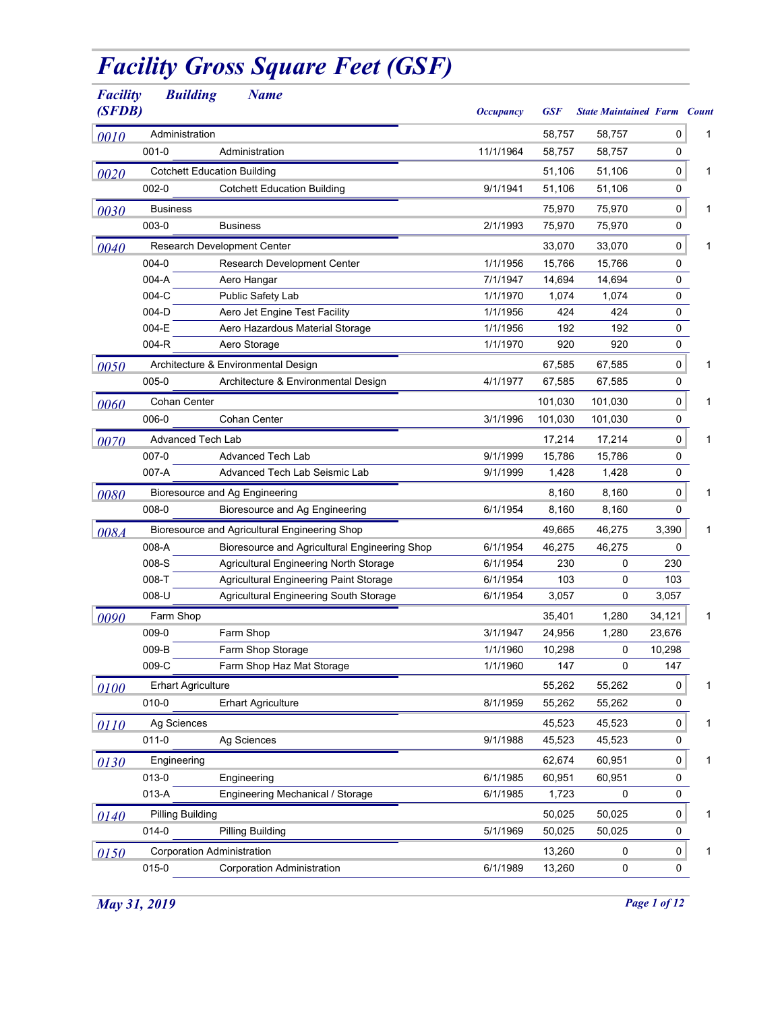## *Facility Gross Square Feet (GSF)*

| <b>Facility</b><br>(SFDB) | <b>Building</b>                    | <b>Name</b>                                   | <i><b>Occupancy</b></i> | <b>GSF</b> | <b>State Maintained Farm Count</b> |           |   |
|---------------------------|------------------------------------|-----------------------------------------------|-------------------------|------------|------------------------------------|-----------|---|
| 0010                      | Administration                     |                                               |                         | 58,757     | 58,757                             | 0         | 1 |
|                           | $001 - 0$                          | Administration                                | 11/1/1964               | 58,757     | 58,757                             | 0         |   |
| 0020                      | <b>Cotchett Education Building</b> |                                               |                         | 51,106     | 51,106                             | 0         | 1 |
|                           | $002 - 0$                          | <b>Cotchett Education Building</b>            | 9/1/1941                | 51,106     | 51,106                             | 0         |   |
| 0030                      | <b>Business</b>                    |                                               |                         | 75,970     | 75,970                             | 0         | 1 |
|                           | 003-0                              | <b>Business</b>                               | 2/1/1993                | 75,970     | 75,970                             | 0         |   |
| 0040                      |                                    | Research Development Center                   |                         | 33,070     | 33,070                             | 0         | 1 |
|                           | 004-0                              | Research Development Center                   | 1/1/1956                | 15,766     | 15,766                             | 0         |   |
|                           | 004-A                              | Aero Hangar                                   | 7/1/1947                | 14,694     | 14,694                             | 0         |   |
|                           | 004-C                              | Public Safety Lab                             | 1/1/1970                | 1,074      | 1,074                              | 0         |   |
|                           | 004-D                              | Aero Jet Engine Test Facility                 | 1/1/1956                | 424        | 424                                | 0         |   |
|                           | 004-E                              | Aero Hazardous Material Storage               | 1/1/1956                | 192        | 192                                | 0         |   |
|                           | 004-R                              | Aero Storage                                  | 1/1/1970                | 920        | 920                                | 0         |   |
| 0050                      |                                    | Architecture & Environmental Design           |                         | 67,585     | 67,585                             | 0         | 1 |
|                           | 005-0                              | Architecture & Environmental Design           | 4/1/1977                | 67,585     | 67,585                             | 0         |   |
| 0060                      | Cohan Center                       |                                               |                         | 101,030    | 101,030                            | 0         | 1 |
|                           | 006-0                              | Cohan Center                                  | 3/1/1996                | 101,030    | 101,030                            | 0         |   |
|                           | <b>Advanced Tech Lab</b>           |                                               |                         | 17,214     | 17,214                             | 0         | 1 |
| 0070                      | 007-0                              | <b>Advanced Tech Lab</b>                      | 9/1/1999                | 15,786     | 15,786                             | 0         |   |
|                           | 007-A                              | Advanced Tech Lab Seismic Lab                 | 9/1/1999                | 1,428      | 1,428                              | 0         |   |
|                           |                                    |                                               |                         |            |                                    |           |   |
| 0080                      |                                    | Bioresource and Ag Engineering                |                         | 8,160      | 8,160                              | 0         | 1 |
|                           | 008-0                              | Bioresource and Ag Engineering                | 6/1/1954                | 8,160      | 8,160                              | 0         |   |
| 008A                      |                                    | Bioresource and Agricultural Engineering Shop |                         | 49,665     | 46,275                             | 3,390     | 1 |
|                           | 008-A                              | Bioresource and Agricultural Engineering Shop | 6/1/1954                | 46,275     | 46,275                             | 0         |   |
|                           | 008-S                              | Agricultural Engineering North Storage        | 6/1/1954                | 230        | 0                                  | 230       |   |
|                           | 008-T                              | Agricultural Engineering Paint Storage        | 6/1/1954                | 103        | 0                                  | 103       |   |
|                           | 008-U                              | Agricultural Engineering South Storage        | 6/1/1954                | 3,057      | 0                                  | 3,057     |   |
| 0090                      | Farm Shop                          |                                               |                         | 35,401     | 1,280                              | 34,121    | 1 |
|                           | 009-0                              | Farm Shop                                     | 3/1/1947                | 24,956     | 1,280                              | 23,676    |   |
|                           | 009-B                              | Farm Shop Storage                             | 1/1/1960                | 10,298     | 0                                  | 10,298    |   |
|                           | 009-C                              | Farm Shop Haz Mat Storage                     | 1/1/1960                | 147        | 0                                  | 147       |   |
| 0100                      | <b>Erhart Agriculture</b>          |                                               |                         | 55,262     | 55,262                             | 0         | 1 |
|                           | 010-0                              | <b>Erhart Agriculture</b>                     | 8/1/1959                | 55,262     | 55,262                             | 0         |   |
| 0110                      | Ag Sciences                        |                                               |                         | 45,523     | 45,523                             | 0         | 1 |
|                           | $011 - 0$                          | Ag Sciences                                   | 9/1/1988                | 45,523     | 45,523                             | 0         |   |
| 0130                      | Engineering                        |                                               |                         | 62,674     | 60,951                             | $\pmb{0}$ | 1 |
|                           | 013-0                              | Engineering                                   | 6/1/1985                | 60,951     | 60,951                             | 0         |   |
|                           | 013-A                              | Engineering Mechanical / Storage              | 6/1/1985                | 1,723      | 0                                  | 0         |   |
| 0140                      | <b>Pilling Building</b>            |                                               |                         | 50,025     | 50,025                             | $\pmb{0}$ | 1 |
|                           | 014-0                              | Pilling Building                              | 5/1/1969                | 50,025     | 50,025                             | 0         |   |
| 0150                      | <b>Corporation Administration</b>  |                                               |                         | 13,260     | 0                                  | $\pmb{0}$ | 1 |
|                           | 015-0                              | <b>Corporation Administration</b>             | 6/1/1989                | 13,260     | 0                                  | 0         |   |
|                           |                                    |                                               |                         |            |                                    |           |   |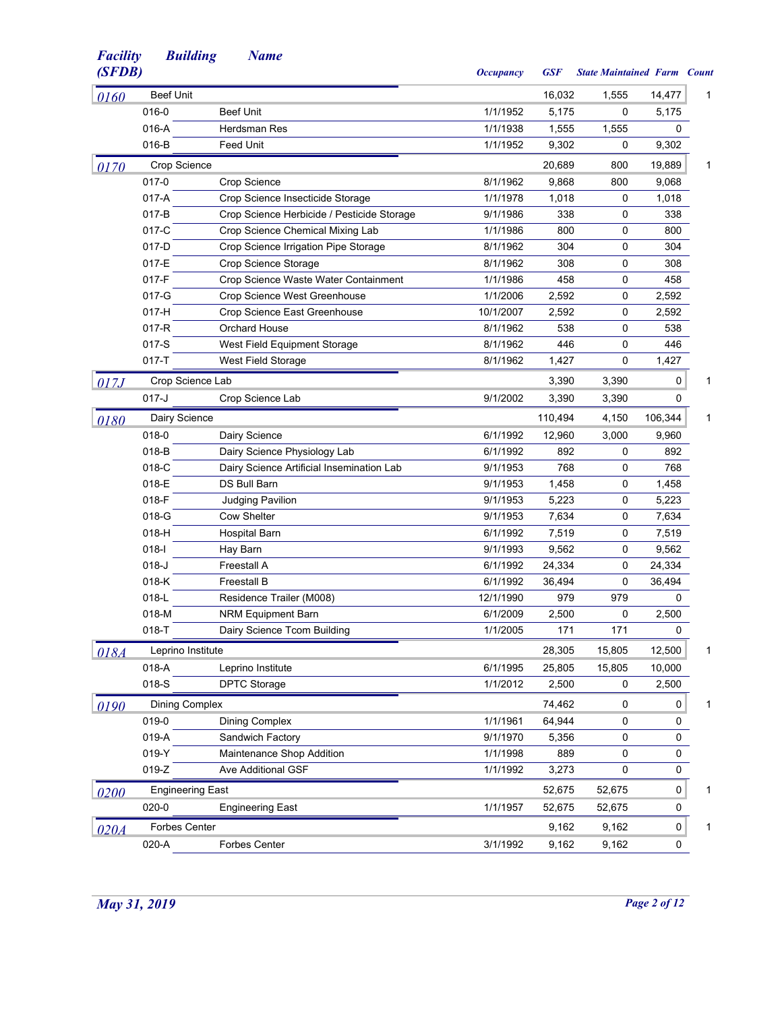| (SFDB) |                         |                                            | <b>Occupancy</b> | <b>GSF</b> | <b>State Maintained Farm Count</b> |           |   |
|--------|-------------------------|--------------------------------------------|------------------|------------|------------------------------------|-----------|---|
| 0160   | <b>Beef Unit</b>        |                                            |                  | 16,032     | 1,555                              | 14,477    | 1 |
|        | 016-0                   | <b>Beef Unit</b>                           | 1/1/1952         | 5,175      | 0                                  | 5,175     |   |
|        | 016-A                   | Herdsman Res                               | 1/1/1938         | 1,555      | 1,555                              | 0         |   |
|        | 016-B                   | Feed Unit                                  | 1/1/1952         | 9,302      | 0                                  | 9,302     |   |
| 0170   | Crop Science            |                                            |                  | 20,689     | 800                                | 19,889    | 1 |
|        | 017-0                   | Crop Science                               | 8/1/1962         | 9,868      | 800                                | 9,068     |   |
|        | $017-A$                 | Crop Science Insecticide Storage           | 1/1/1978         | 1,018      | 0                                  | 1,018     |   |
|        | 017-B                   | Crop Science Herbicide / Pesticide Storage | 9/1/1986         | 338        | 0                                  | 338       |   |
|        | 017-C                   | Crop Science Chemical Mixing Lab           | 1/1/1986         | 800        | 0                                  | 800       |   |
|        | 017-D                   | Crop Science Irrigation Pipe Storage       | 8/1/1962         | 304        | 0                                  | 304       |   |
|        | 017-E                   | Crop Science Storage                       | 8/1/1962         | 308        | 0                                  | 308       |   |
|        | 017-F                   | Crop Science Waste Water Containment       | 1/1/1986         | 458        | 0                                  | 458       |   |
|        | 017-G                   | Crop Science West Greenhouse               | 1/1/2006         | 2,592      | 0                                  | 2,592     |   |
|        | $017-H$                 | Crop Science East Greenhouse               | 10/1/2007        | 2,592      | 0                                  | 2,592     |   |
|        | $017-R$                 | Orchard House                              | 8/1/1962         | 538        | 0                                  | 538       |   |
|        | $017-S$                 | West Field Equipment Storage               | 8/1/1962         | 446        | 0                                  | 446       |   |
|        | $017 - T$               | West Field Storage                         | 8/1/1962         | 1,427      | 0                                  | 1,427     |   |
| 017.J  | Crop Science Lab        |                                            |                  | 3,390      | 3,390                              | 0         | 1 |
|        | $017 - J$               | Crop Science Lab                           | 9/1/2002         | 3,390      | 3,390                              | 0         |   |
| 0180   | Dairy Science           |                                            |                  | 110,494    | 4,150                              | 106,344   | 1 |
|        | 018-0                   | Dairy Science                              | 6/1/1992         | 12,960     | 3,000                              | 9,960     |   |
|        | 018-B                   | Dairy Science Physiology Lab               | 6/1/1992         | 892        | 0                                  | 892       |   |
|        | 018-C                   | Dairy Science Artificial Insemination Lab  | 9/1/1953         | 768        | 0                                  | 768       |   |
|        | 018-E                   | DS Bull Barn                               | 9/1/1953         | 1,458      | 0                                  | 1,458     |   |
|        | 018-F                   | <b>Judging Pavilion</b>                    | 9/1/1953         | 5,223      | 0                                  | 5,223     |   |
|        | 018-G                   | <b>Cow Shelter</b>                         | 9/1/1953         | 7,634      | 0                                  | 7,634     |   |
|        | $018-H$                 | <b>Hospital Barn</b>                       | 6/1/1992         | 7,519      | 0                                  | 7,519     |   |
|        | $018 -$                 | Hay Barn                                   | 9/1/1993         | 9,562      | 0                                  | 9,562     |   |
|        | $018 - J$               | Freestall A                                | 6/1/1992         | 24,334     | 0                                  | 24,334    |   |
|        | 018-K                   | <b>Freestall B</b>                         | 6/1/1992         | 36,494     | 0                                  | 36,494    |   |
|        | 018-L                   | Residence Trailer (M008)                   | 12/1/1990        | 979        | 979                                | 0         |   |
|        | 018-M                   | <b>NRM Equipment Barn</b>                  | 6/1/2009         | 2,500      | 0                                  | 2,500     |   |
|        | 018-T                   | Dairy Science Tcom Building                | 1/1/2005         | 171        | 171                                | 0         |   |
| 018A   | Leprino Institute       |                                            |                  | 28,305     | 15,805                             | 12,500    | 1 |
|        | 018-A                   | Leprino Institute                          | 6/1/1995         | 25,805     | 15,805                             | 10,000    |   |
|        | 018-S                   | <b>DPTC Storage</b>                        | 1/1/2012         | 2,500      | 0                                  | 2,500     |   |
|        | <b>Dining Complex</b>   |                                            |                  | 74,462     | 0                                  | 0         | 1 |
| 0190   | 019-0                   | <b>Dining Complex</b>                      | 1/1/1961         | 64,944     | 0                                  | 0         |   |
|        | 019-A                   | Sandwich Factory                           | 9/1/1970         | 5,356      | 0                                  | 0         |   |
|        | 019-Y                   | Maintenance Shop Addition                  | 1/1/1998         | 889        | 0                                  | 0         |   |
|        | $019-Z$                 | Ave Additional GSF                         | 1/1/1992         |            | 0                                  | 0         |   |
|        |                         |                                            |                  | 3,273      |                                    |           |   |
| 0200   | <b>Engineering East</b> |                                            |                  | 52,675     | 52,675                             | 0         | 1 |
|        | $020 - 0$               | <b>Engineering East</b>                    | 1/1/1957         | 52,675     | 52,675                             | 0         |   |
| 020A   | <b>Forbes Center</b>    |                                            |                  | 9,162      | 9,162                              | $\pmb{0}$ | 1 |
|        | 020-A                   | Forbes Center                              | 3/1/1992         | 9,162      | 9,162                              | 0         |   |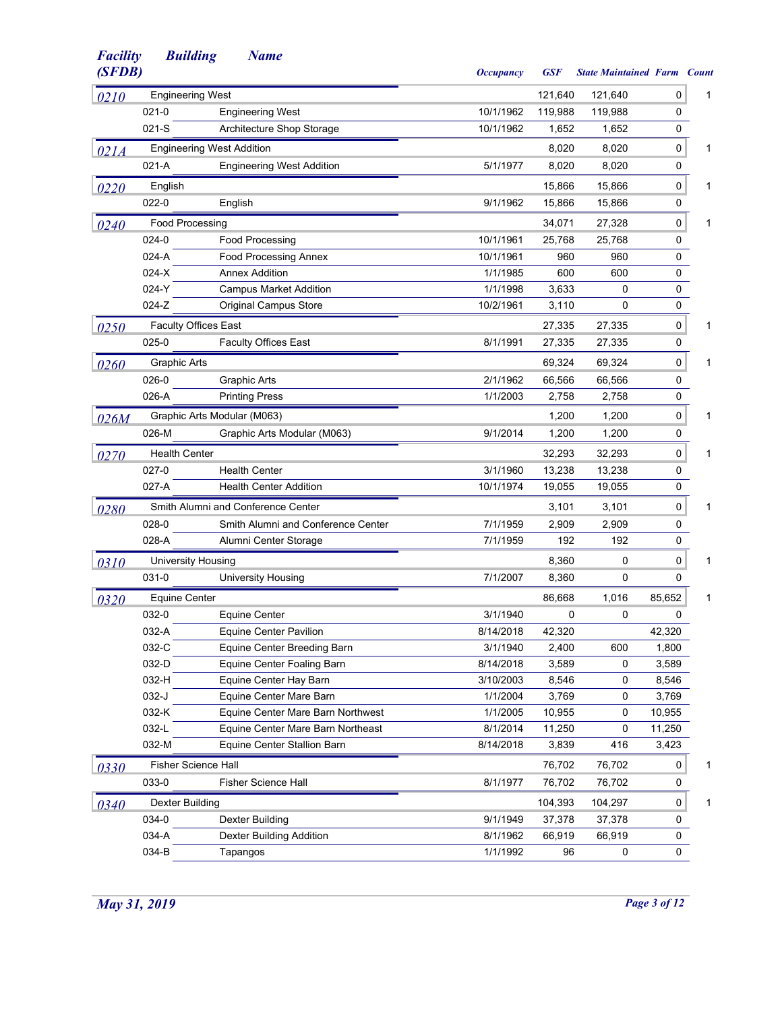| (SFDB) |                           |                                    | <b>Occupancy</b> | <b>GSF</b> | <b>State Maintained Farm Count</b> |           |   |
|--------|---------------------------|------------------------------------|------------------|------------|------------------------------------|-----------|---|
| 0210   | <b>Engineering West</b>   |                                    |                  | 121,640    | 121,640                            | 0         | 1 |
|        | 021-0                     | <b>Engineering West</b>            | 10/1/1962        | 119,988    | 119,988                            | 0         |   |
|        | $021-S$                   | Architecture Shop Storage          | 10/1/1962        | 1,652      | 1,652                              | 0         |   |
| 021A   |                           | <b>Engineering West Addition</b>   |                  | 8,020      | 8,020                              | 0         | 1 |
|        | 021-A                     | <b>Engineering West Addition</b>   | 5/1/1977         | 8,020      | 8,020                              | 0         |   |
| 0220   | English                   |                                    |                  | 15,866     | 15,866                             | 0         | 1 |
|        | 022-0                     | English                            | 9/1/1962         | 15,866     | 15,866                             | 0         |   |
| 0240   | Food Processing           |                                    |                  | 34,071     | 27,328                             | 0         | 1 |
|        | 024-0                     | <b>Food Processing</b>             | 10/1/1961        | 25,768     | 25,768                             | 0         |   |
|        | 024-A                     | <b>Food Processing Annex</b>       | 10/1/1961        | 960        | 960                                | 0         |   |
|        | $024-X$                   | <b>Annex Addition</b>              | 1/1/1985         | 600        | 600                                | 0         |   |
|        | 024-Y                     | <b>Campus Market Addition</b>      | 1/1/1998         | 3,633      | 0                                  | 0         |   |
|        | $024-Z$                   | <b>Original Campus Store</b>       | 10/2/1961        | 3,110      | 0                                  | 0         |   |
| 0250   |                           | <b>Faculty Offices East</b>        |                  | 27,335     | 27,335                             | 0         | 1 |
|        | 025-0                     | <b>Faculty Offices East</b>        | 8/1/1991         | 27,335     | 27,335                             | 0         |   |
| 0260   | <b>Graphic Arts</b>       |                                    |                  | 69,324     | 69,324                             | 0         | 1 |
|        | 026-0                     | Graphic Arts                       | 2/1/1962         | 66,566     | 66,566                             | 0         |   |
|        | 026-A                     | <b>Printing Press</b>              | 1/1/2003         | 2,758      | 2,758                              | 0         |   |
|        |                           | Graphic Arts Modular (M063)        |                  | 1,200      | 1,200                              | 0         | 1 |
| 026M   | 026-M                     | Graphic Arts Modular (M063)        | 9/1/2014         | 1,200      | 1,200                              | 0         |   |
|        |                           |                                    |                  |            |                                    |           |   |
| 0270   | <b>Health Center</b>      |                                    |                  | 32,293     | 32,293                             | $\pmb{0}$ | 1 |
|        | 027-0                     | <b>Health Center</b>               | 3/1/1960         | 13,238     | 13,238                             | 0         |   |
|        | $027-A$                   | <b>Health Center Addition</b>      | 10/1/1974        | 19,055     | 19,055                             | 0         |   |
| 0280   |                           | Smith Alumni and Conference Center |                  | 3,101      | 3,101                              | 0         | 1 |
|        | 028-0                     | Smith Alumni and Conference Center | 7/1/1959         | 2,909      | 2,909                              | 0         |   |
|        | 028-A                     | Alumni Center Storage              | 7/1/1959         | 192        | 192                                | 0         |   |
| 0310   | <b>University Housing</b> |                                    |                  | 8,360      | 0                                  | 0         | 1 |
|        | 031-0                     | <b>University Housing</b>          | 7/1/2007         | 8,360      | 0                                  | 0         |   |
| 0320   | <b>Equine Center</b>      |                                    |                  | 86,668     | 1,016                              | 85,652    | 1 |
|        | 032-0                     | Equine Center                      | 3/1/1940         | 0          | 0                                  | 0         |   |
|        | 032-A                     | Equine Center Pavilion             | 8/14/2018        | 42,320     |                                    | 42,320    |   |
|        | 032-C                     | Equine Center Breeding Barn        | 3/1/1940         | 2,400      | 600                                | 1,800     |   |
|        | 032-D                     | Equine Center Foaling Barn         | 8/14/2018        | 3,589      | 0                                  | 3,589     |   |
|        | 032-H                     | Equine Center Hay Barn             | 3/10/2003        | 8,546      | 0                                  | 8,546     |   |
|        | 032-J                     | Equine Center Mare Barn            | 1/1/2004         | 3,769      | 0                                  | 3,769     |   |
|        | 032-K                     | Equine Center Mare Barn Northwest  | 1/1/2005         | 10,955     | 0                                  | 10,955    |   |
|        | 032-L                     | Equine Center Mare Barn Northeast  | 8/1/2014         | 11,250     | 0                                  | 11,250    |   |
|        | 032-M                     | Equine Center Stallion Barn        | 8/14/2018        | 3,839      | 416                                | 3,423     |   |
| 0330   |                           | <b>Fisher Science Hall</b>         |                  | 76,702     | 76,702                             | 0         | 1 |
|        | 033-0                     | <b>Fisher Science Hall</b>         | 8/1/1977         | 76,702     | 76,702                             | 0         |   |
| 0340   | <b>Dexter Building</b>    |                                    |                  | 104,393    | 104,297                            | 0         | 1 |
|        | 034-0                     | Dexter Building                    | 9/1/1949         | 37,378     | 37,378                             | 0         |   |
|        | 034-A                     | Dexter Building Addition           | 8/1/1962         | 66,919     | 66,919                             | 0         |   |
|        | 034-B                     | Tapangos                           | 1/1/1992         | 96         | 0                                  | 0         |   |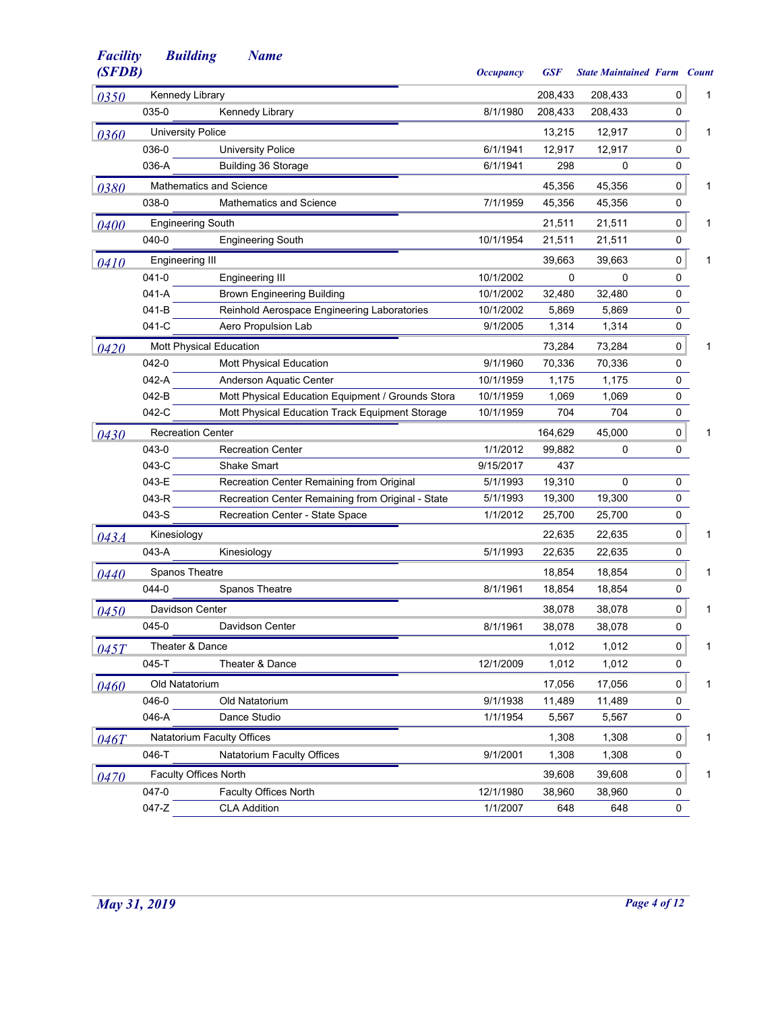| (SFDB) |                          |                                                   | <b>Occupancy</b> | <b>GSF</b> | <b>State Maintained Farm Count</b> |   |   |
|--------|--------------------------|---------------------------------------------------|------------------|------------|------------------------------------|---|---|
| 0350   | Kennedy Library          |                                                   |                  | 208,433    | 208,433                            | 0 | 1 |
|        | 035-0                    | Kennedy Library                                   | 8/1/1980         | 208,433    | 208,433                            | 0 |   |
| 0360   | <b>University Police</b> |                                                   |                  | 13,215     | 12,917                             | 0 | 1 |
|        | 036-0                    | <b>University Police</b>                          | 6/1/1941         | 12,917     | 12,917                             | 0 |   |
|        | 036-A                    | Building 36 Storage                               | 6/1/1941         | 298        | $\Omega$                           | 0 |   |
| 0380   |                          | <b>Mathematics and Science</b>                    |                  | 45,356     | 45,356                             | 0 | 1 |
|        | 038-0                    | <b>Mathematics and Science</b>                    | 7/1/1959         | 45,356     | 45,356                             | 0 |   |
| 0400   | <b>Engineering South</b> |                                                   |                  | 21,511     | 21,511                             | 0 | 1 |
|        | 040-0                    | <b>Engineering South</b>                          | 10/1/1954        | 21,511     | 21,511                             | 0 |   |
| 0410   | <b>Engineering III</b>   |                                                   |                  | 39,663     | 39,663                             | 0 | 1 |
|        | 041-0                    | <b>Engineering III</b>                            | 10/1/2002        | 0          | 0                                  | 0 |   |
|        | 041-A                    | <b>Brown Engineering Building</b>                 | 10/1/2002        | 32,480     | 32,480                             | 0 |   |
|        | 041-B                    | Reinhold Aerospace Engineering Laboratories       | 10/1/2002        | 5,869      | 5,869                              | 0 |   |
|        | 041-C                    | Aero Propulsion Lab                               | 9/1/2005         | 1,314      | 1,314                              | 0 |   |
| 0420   |                          | Mott Physical Education                           |                  | 73,284     | 73,284                             | 0 | 1 |
|        | 042-0                    | Mott Physical Education                           | 9/1/1960         | 70,336     | 70,336                             | 0 |   |
|        | 042-A                    | Anderson Aquatic Center                           | 10/1/1959        | 1,175      | 1,175                              | 0 |   |
|        | 042-B                    | Mott Physical Education Equipment / Grounds Stora | 10/1/1959        | 1,069      | 1,069                              | 0 |   |
|        | 042-C                    | Mott Physical Education Track Equipment Storage   | 10/1/1959        | 704        | 704                                | 0 |   |
| 0430   | <b>Recreation Center</b> |                                                   |                  | 164,629    | 45,000                             | 0 | 1 |
|        | 043-0                    | <b>Recreation Center</b>                          | 1/1/2012         | 99,882     | 0                                  | 0 |   |
|        | 043-C                    | <b>Shake Smart</b>                                | 9/15/2017        | 437        |                                    |   |   |
|        | 043-E                    | Recreation Center Remaining from Original         | 5/1/1993         | 19,310     | 0                                  | 0 |   |
|        | 043-R                    | Recreation Center Remaining from Original - State | 5/1/1993         | 19,300     | 19,300                             | 0 |   |
|        | 043-S                    | Recreation Center - State Space                   | 1/1/2012         | 25,700     | 25,700                             | 0 |   |
| 043A   | Kinesiology              |                                                   |                  | 22,635     | 22,635                             | 0 | 1 |
|        | 043-A                    | Kinesiology                                       | 5/1/1993         | 22,635     | 22,635                             | 0 |   |
| 0440   | Spanos Theatre           |                                                   |                  | 18,854     | 18,854                             | 0 | 1 |
|        | 044-0                    | Spanos Theatre                                    | 8/1/1961         | 18,854     | 18,854                             | 0 |   |
| 0450   | Davidson Center          |                                                   |                  | 38,078     | 38,078                             | 0 | 1 |
|        | 045-0                    | Davidson Center                                   | 8/1/1961         | 38,078     | 38,078                             | 0 |   |
| 045T   | Theater & Dance          |                                                   |                  | 1,012      | 1,012                              | 0 | 1 |
|        | 045-T                    | Theater & Dance                                   | 12/1/2009        | 1,012      | 1,012                              | 0 |   |
|        | Old Natatorium           |                                                   |                  | 17,056     | 17,056                             | 0 | 1 |
| 0460   | 046-0                    | Old Natatorium                                    | 9/1/1938         | 11,489     | 11,489                             | 0 |   |
|        | 046-A                    | Dance Studio                                      | 1/1/1954         | 5,567      | 5,567                              | 0 |   |
|        |                          |                                                   |                  |            |                                    |   |   |
| 046T   |                          | Natatorium Faculty Offices                        |                  | 1,308      | 1,308                              | 0 | 1 |
|        | 046-T                    | Natatorium Faculty Offices                        | 9/1/2001         | 1,308      | 1,308                              | 0 |   |
| 0470   |                          | <b>Faculty Offices North</b>                      |                  | 39,608     | 39,608                             | 0 | 1 |
|        | 047-0                    | <b>Faculty Offices North</b>                      | 12/1/1980        | 38,960     | 38,960                             | 0 |   |
|        | 047-Z                    | <b>CLA Addition</b>                               | 1/1/2007         | 648        | 648                                | 0 |   |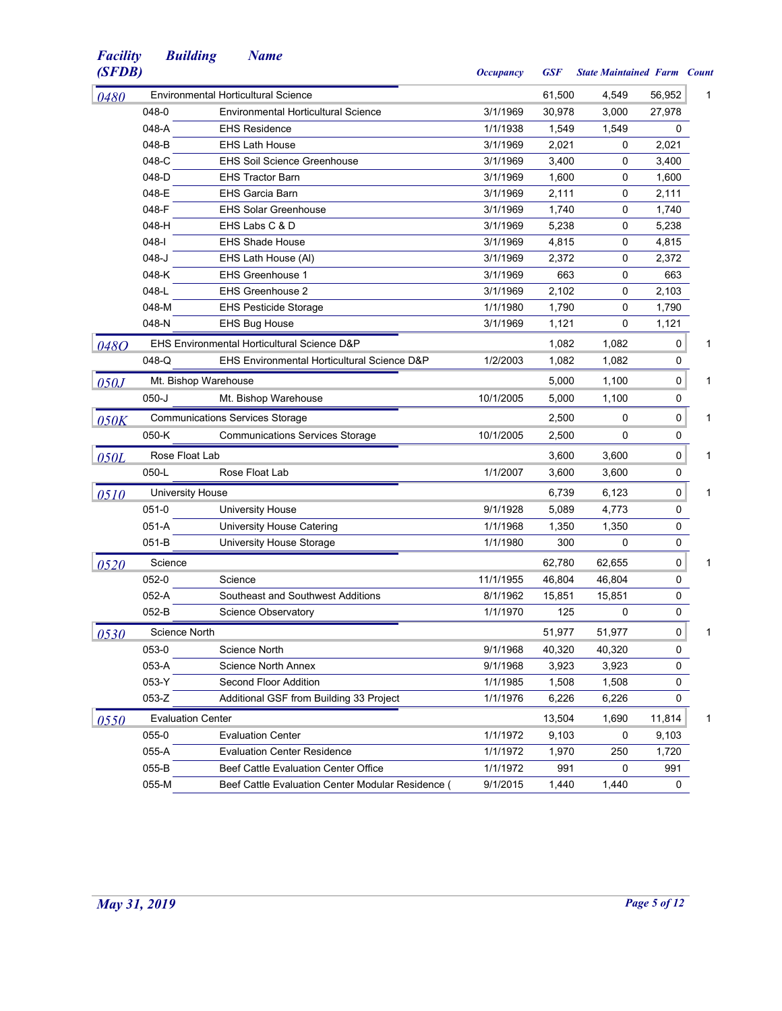| (SFDB) |                          |                                                   | <b>Occupancy</b> | <b>GSF</b> | <b>State Maintained Farm Count</b> |        |   |
|--------|--------------------------|---------------------------------------------------|------------------|------------|------------------------------------|--------|---|
| 0480   |                          | <b>Environmental Horticultural Science</b>        |                  | 61,500     | 4,549                              | 56,952 | 1 |
|        | 048-0                    | <b>Environmental Horticultural Science</b>        | 3/1/1969         | 30,978     | 3,000                              | 27,978 |   |
|        | 048-A                    | <b>EHS Residence</b>                              | 1/1/1938         | 1,549      | 1,549                              | 0      |   |
|        | 048-B                    | <b>EHS Lath House</b>                             | 3/1/1969         | 2,021      | 0                                  | 2,021  |   |
|        | 048-C                    | <b>EHS Soil Science Greenhouse</b>                | 3/1/1969         | 3,400      | 0                                  | 3,400  |   |
|        | 048-D                    | <b>EHS Tractor Barn</b>                           | 3/1/1969         | 1,600      | 0                                  | 1,600  |   |
|        | 048-E                    | <b>EHS Garcia Barn</b>                            | 3/1/1969         | 2,111      | 0                                  | 2,111  |   |
|        | 048-F                    | <b>EHS Solar Greenhouse</b>                       | 3/1/1969         | 1,740      | 0                                  | 1,740  |   |
|        | 048-H                    | EHS Labs C & D                                    | 3/1/1969         | 5,238      | 0                                  | 5,238  |   |
|        | $048 - 1$                | <b>EHS Shade House</b>                            | 3/1/1969         | 4,815      | 0                                  | 4,815  |   |
|        | $048 - J$                | EHS Lath House (AI)                               | 3/1/1969         | 2,372      | 0                                  | 2,372  |   |
|        | 048-K                    | <b>EHS Greenhouse 1</b>                           | 3/1/1969         | 663        | 0                                  | 663    |   |
|        | 048-L                    | <b>EHS Greenhouse 2</b>                           | 3/1/1969         | 2,102      | 0                                  | 2,103  |   |
|        | 048-M                    | <b>EHS Pesticide Storage</b>                      | 1/1/1980         | 1,790      | 0                                  | 1,790  |   |
|        | 048-N                    | <b>EHS Bug House</b>                              | 3/1/1969         | 1,121      | 0                                  | 1,121  |   |
| 0480   |                          | EHS Environmental Horticultural Science D&P       |                  | 1,082      | 1,082                              | 0      | 1 |
|        | 048-Q                    | EHS Environmental Horticultural Science D&P       | 1/2/2003         | 1,082      | 1,082                              | 0      |   |
| 050J   |                          | Mt. Bishop Warehouse                              |                  | 5,000      | 1,100                              | 0      | 1 |
|        | $050 - J$                | Mt. Bishop Warehouse                              | 10/1/2005        | 5,000      | 1,100                              | 0      |   |
| 050K   |                          | <b>Communications Services Storage</b>            |                  | 2,500      | 0                                  | 0      | 1 |
|        | $050-K$                  | <b>Communications Services Storage</b>            | 10/1/2005        | 2,500      | 0                                  | 0      |   |
| 050L   | Rose Float Lab           |                                                   |                  | 3,600      | 3,600                              | 0      | 1 |
|        | $050-L$                  | Rose Float Lab                                    | 1/1/2007         | 3,600      | 3,600                              | 0      |   |
| 0510   | <b>University House</b>  |                                                   |                  | 6,739      | 6,123                              | 0      | 1 |
|        | $051-0$                  | <b>University House</b>                           | 9/1/1928         | 5,089      | 4,773                              | 0      |   |
|        | 051-A                    | <b>University House Catering</b>                  | 1/1/1968         | 1,350      | 1,350                              | 0      |   |
|        | 051-B                    | University House Storage                          | 1/1/1980         | 300        | 0                                  | 0      |   |
| 0520   | Science                  |                                                   |                  | 62,780     | 62,655                             | 0      | 1 |
|        | 052-0                    | Science                                           | 11/1/1955        | 46,804     | 46,804                             | 0      |   |
|        | 052-A                    | Southeast and Southwest Additions                 | 8/1/1962         | 15,851     | 15,851                             | 0      |   |
|        | 052-B                    | <b>Science Observatory</b>                        | 1/1/1970         | 125        | 0                                  | 0      |   |
| 0530   | <b>Science North</b>     |                                                   |                  | 51,977     | 51,977                             | 0      | 1 |
|        | 053-0                    | Science North                                     | 9/1/1968         | 40,320     | 40,320                             | 0      |   |
|        | 053-A                    | <b>Science North Annex</b>                        | 9/1/1968         | 3,923      | 3,923                              | 0      |   |
|        | 053-Y                    | Second Floor Addition                             | 1/1/1985         | 1,508      | 1,508                              | 0      |   |
|        | 053-Z                    | Additional GSF from Building 33 Project           | 1/1/1976         | 6,226      | 6,226                              | 0      |   |
|        | <b>Evaluation Center</b> |                                                   |                  | 13,504     | 1,690                              | 11,814 | 1 |
| 0550   | 055-0                    | <b>Evaluation Center</b>                          | 1/1/1972         | 9,103      | 0                                  | 9,103  |   |
|        | 055-A                    | <b>Evaluation Center Residence</b>                | 1/1/1972         | 1,970      | 250                                | 1,720  |   |
|        | 055-B                    | Beef Cattle Evaluation Center Office              | 1/1/1972         | 991        | 0                                  | 991    |   |
|        | 055-M                    | Beef Cattle Evaluation Center Modular Residence ( | 9/1/2015         | 1,440      | 1,440                              | 0      |   |
|        |                          |                                                   |                  |            |                                    |        |   |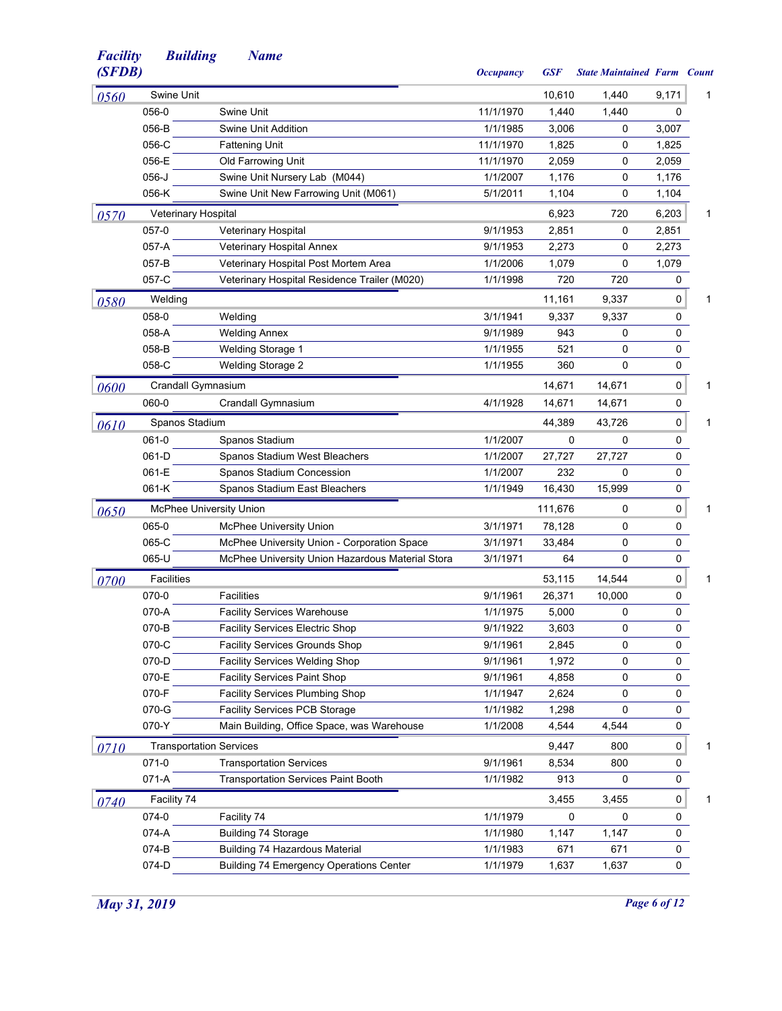| (SFDB) |                                |                                                  | <b>Occupancy</b> | <b>GSF</b> | <b>State Maintained Farm Count</b> |           |   |
|--------|--------------------------------|--------------------------------------------------|------------------|------------|------------------------------------|-----------|---|
| 0560   | Swine Unit                     |                                                  |                  | 10,610     | 1,440                              | 9,171     | 1 |
|        | 056-0                          | Swine Unit                                       | 11/1/1970        | 1,440      | 1,440                              | 0         |   |
|        | 056-B                          | Swine Unit Addition                              | 1/1/1985         | 3,006      | 0                                  | 3,007     |   |
|        | 056-C                          | <b>Fattening Unit</b>                            | 11/1/1970        | 1,825      | 0                                  | 1,825     |   |
|        | 056-E                          | Old Farrowing Unit                               | 11/1/1970        | 2,059      | 0                                  | 2,059     |   |
|        | $056 - J$                      | Swine Unit Nursery Lab (M044)                    | 1/1/2007         | 1,176      | 0                                  | 1,176     |   |
|        | 056-K                          | Swine Unit New Farrowing Unit (M061)             | 5/1/2011         | 1,104      | 0                                  | 1,104     |   |
| 0570   | Veterinary Hospital            |                                                  |                  | 6,923      | 720                                | 6,203     | 1 |
|        | 057-0                          | Veterinary Hospital                              | 9/1/1953         | 2,851      | 0                                  | 2,851     |   |
|        | 057-A                          | Veterinary Hospital Annex                        | 9/1/1953         | 2,273      | 0                                  | 2,273     |   |
|        | 057-B                          | Veterinary Hospital Post Mortem Area             | 1/1/2006         | 1,079      | 0                                  | 1,079     |   |
|        | 057-C                          | Veterinary Hospital Residence Trailer (M020)     | 1/1/1998         | 720        | 720                                | 0         |   |
| 0580   | Welding                        |                                                  |                  | 11,161     | 9,337                              | 0         | 1 |
|        | 058-0                          | Welding                                          | 3/1/1941         | 9,337      | 9,337                              | 0         |   |
|        | 058-A                          | <b>Welding Annex</b>                             | 9/1/1989         | 943        | 0                                  | 0         |   |
|        | 058-B                          | <b>Welding Storage 1</b>                         | 1/1/1955         | 521        | 0                                  | 0         |   |
|        | 058-C                          | <b>Welding Storage 2</b>                         | 1/1/1955         | 360        | 0                                  | 0         |   |
| 0600   | Crandall Gymnasium             |                                                  |                  | 14.671     | 14,671                             | 0         | 1 |
|        | 060-0                          | Crandall Gymnasium                               | 4/1/1928         | 14,671     | 14,671                             | 0         |   |
| 0610   | Spanos Stadium                 |                                                  |                  | 44,389     | 43,726                             | $\pmb{0}$ | 1 |
|        | 061-0                          | Spanos Stadium                                   | 1/1/2007         | 0          | 0                                  | 0         |   |
|        | 061-D                          | Spanos Stadium West Bleachers                    | 1/1/2007         | 27,727     | 27,727                             | 0         |   |
|        | 061-E                          | Spanos Stadium Concession                        | 1/1/2007         | 232        | 0                                  | 0         |   |
|        | 061-K                          | Spanos Stadium East Bleachers                    | 1/1/1949         | 16,430     | 15,999                             | 0         |   |
| 0650   |                                | <b>McPhee University Union</b>                   |                  | 111,676    | 0                                  | 0         | 1 |
|        | 065-0                          | <b>McPhee University Union</b>                   | 3/1/1971         | 78,128     | 0                                  | 0         |   |
|        | 065-C                          | McPhee University Union - Corporation Space      | 3/1/1971         | 33,484     | 0                                  | 0         |   |
|        | 065-U                          | McPhee University Union Hazardous Material Stora | 3/1/1971         | 64         | 0                                  | 0         |   |
| 0700   | Facilities                     |                                                  |                  | 53,115     | 14,544                             | 0         | 1 |
|        | 070-0                          | <b>Facilities</b>                                | 9/1/1961         | 26,371     | 10,000                             | 0         |   |
|        | 070-A                          | <b>Facility Services Warehouse</b>               | 1/1/1975         | 5,000      | 0                                  | 0         |   |
|        | 070-B                          | <b>Facility Services Electric Shop</b>           | 9/1/1922         | 3,603      | 0                                  | 0         |   |
|        | 070-C                          | <b>Facility Services Grounds Shop</b>            | 9/1/1961         | 2,845      | 0                                  | 0         |   |
|        | 070-D                          | Facility Services Welding Shop                   | 9/1/1961         | 1,972      | 0                                  | 0         |   |
|        | 070-E                          | Facility Services Paint Shop                     | 9/1/1961         | 4,858      | 0                                  | 0         |   |
|        | 070-F                          | Facility Services Plumbing Shop                  | 1/1/1947         | 2,624      | 0                                  | 0         |   |
|        | 070-G                          | Facility Services PCB Storage                    | 1/1/1982         | 1,298      | 0                                  | 0         |   |
|        | 070-Y                          | Main Building, Office Space, was Warehouse       | 1/1/2008         | 4,544      | 4,544                              | 0         |   |
| 0710   | <b>Transportation Services</b> |                                                  |                  | 9,447      | 800                                | 0         | 1 |
|        | 071-0                          | <b>Transportation Services</b>                   | 9/1/1961         | 8,534      | 800                                | 0         |   |
|        | 071-A                          | <b>Transportation Services Paint Booth</b>       | 1/1/1982         | 913        | 0                                  | 0         |   |
| 0740   | Facility 74                    |                                                  |                  | 3,455      | 3,455                              | 0         | 1 |
|        | 074-0                          | Facility 74                                      | 1/1/1979         | 0          | 0                                  | 0         |   |
|        | 074-A                          | Building 74 Storage                              | 1/1/1980         | 1,147      | 1,147                              | 0         |   |
|        | 074-B                          | Building 74 Hazardous Material                   | 1/1/1983         | 671        | 671                                | 0         |   |
|        | 074-D                          | <b>Building 74 Emergency Operations Center</b>   | 1/1/1979         | 1,637      | 1,637                              | 0         |   |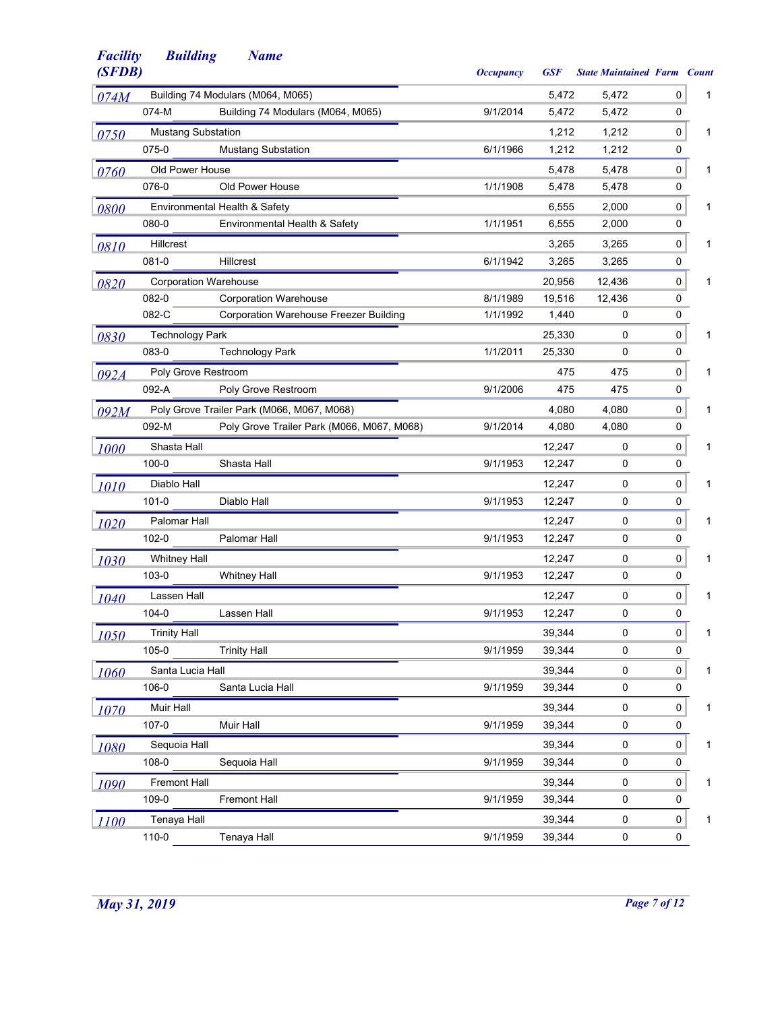| (SFDB) |                              |                                               | <b>Occupancy</b> | <b>GSF</b> | <b>State Maintained Farm Count</b> |           |   |
|--------|------------------------------|-----------------------------------------------|------------------|------------|------------------------------------|-----------|---|
| 074M   |                              | Building 74 Modulars (M064, M065)             |                  | 5,472      | 5,472                              | 0         | 1 |
|        | 074-M                        | Building 74 Modulars (M064, M065)             | 9/1/2014         | 5,472      | 5,472                              | 0         |   |
| 0750   | <b>Mustang Substation</b>    |                                               |                  | 1,212      | 1,212                              | 0         | 1 |
|        | 075-0                        | <b>Mustang Substation</b>                     | 6/1/1966         | 1,212      | 1,212                              | 0         |   |
| 0760   | Old Power House              |                                               |                  | 5,478      | 5,478                              | 0         | 1 |
|        | 076-0                        | Old Power House                               | 1/1/1908         | 5,478      | 5,478                              | 0         |   |
| 0800   |                              | Environmental Health & Safety                 |                  | 6,555      | 2,000                              | 0         | 1 |
|        | 080-0                        | Environmental Health & Safety                 | 1/1/1951         | 6,555      | 2,000                              | 0         |   |
| 0810   | <b>Hillcrest</b>             |                                               |                  | 3,265      | 3,265                              | 0         | 1 |
|        | 081-0                        | Hillcrest                                     | 6/1/1942         | 3,265      | 3,265                              | 0         |   |
| 0820   | <b>Corporation Warehouse</b> |                                               |                  | 20,956     | 12,436                             | 0         | 1 |
|        | 082-0                        | <b>Corporation Warehouse</b>                  | 8/1/1989         | 19,516     | 12,436                             | 0         |   |
|        | 082-C                        | <b>Corporation Warehouse Freezer Building</b> | 1/1/1992         | 1,440      | 0                                  | 0         |   |
| 0830   | <b>Technology Park</b>       |                                               |                  | 25,330     | 0                                  | $\pmb{0}$ | 1 |
|        | 083-0                        | <b>Technology Park</b>                        | 1/1/2011         | 25,330     | 0                                  | 0         |   |
| 092A   | Poly Grove Restroom          |                                               |                  | 475        | 475                                | 0         | 1 |
|        | 092-A                        | Poly Grove Restroom                           | 9/1/2006         | 475        | 475                                | 0         |   |
| 092M   |                              | Poly Grove Trailer Park (M066, M067, M068)    |                  | 4,080      | 4,080                              | 0         | 1 |
|        | 092-M                        | Poly Grove Trailer Park (M066, M067, M068)    | 9/1/2014         | 4,080      | 4,080                              | 0         |   |
| 1000   | Shasta Hall                  |                                               |                  | 12,247     | 0                                  | 0         | 1 |
|        | $100 - 0$                    | Shasta Hall                                   | 9/1/1953         | 12,247     | 0                                  | 0         |   |
| 1010   | Diablo Hall                  |                                               |                  | 12,247     | 0                                  | 0         | 1 |
|        | $101 - 0$                    | Diablo Hall                                   | 9/1/1953         | 12,247     | 0                                  | 0         |   |
| 1020   | Palomar Hall                 |                                               |                  | 12,247     | 0                                  | 0         | 1 |
|        | 102-0                        | Palomar Hall                                  | 9/1/1953         | 12,247     | 0                                  | 0         |   |
| 1030   | <b>Whitney Hall</b>          |                                               |                  | 12,247     | 0                                  | 0         | 1 |
|        | 103-0                        | <b>Whitney Hall</b>                           | 9/1/1953         | 12,247     | 0                                  | 0         |   |
| 1040   | Lassen Hall                  |                                               |                  | 12,247     | 0                                  | $\pmb{0}$ | 1 |
|        | 104-0                        | Lassen Hall                                   | 9/1/1953         | 12,247     | 0                                  | 0         |   |
| 1050   | <b>Trinity Hall</b>          |                                               |                  | 39,344     | 0                                  | 0         |   |
|        | 105-0                        | <b>Trinity Hall</b>                           | 9/1/1959         | 39,344     | 0                                  | 0         |   |
| 1060   | Santa Lucia Hall             |                                               |                  | 39,344     | 0                                  | $\pmb{0}$ | 1 |
|        | 106-0                        | Santa Lucia Hall                              | 9/1/1959         | 39,344     | 0                                  | 0         |   |
| 1070   | Muir Hall                    |                                               |                  | 39,344     | 0                                  | 0         | 1 |
|        | $107 - 0$                    | Muir Hall                                     | 9/1/1959         | 39,344     | 0                                  | 0         |   |
| 1080   | Sequoia Hall                 |                                               |                  | 39,344     | 0                                  | $\pmb{0}$ | 1 |
|        | 108-0                        | Sequoia Hall                                  | 9/1/1959         | 39,344     | 0                                  | 0         |   |
| 1090   | <b>Fremont Hall</b>          |                                               |                  | 39,344     | 0                                  | 0         | 1 |
|        | 109-0                        | <b>Fremont Hall</b>                           | 9/1/1959         | 39,344     | 0                                  | 0         |   |
| 1100   | Tenaya Hall                  |                                               |                  | 39,344     | 0                                  | 0         | 1 |
|        | 110-0                        | Tenaya Hall                                   | 9/1/1959         | 39,344     | 0                                  | 0         |   |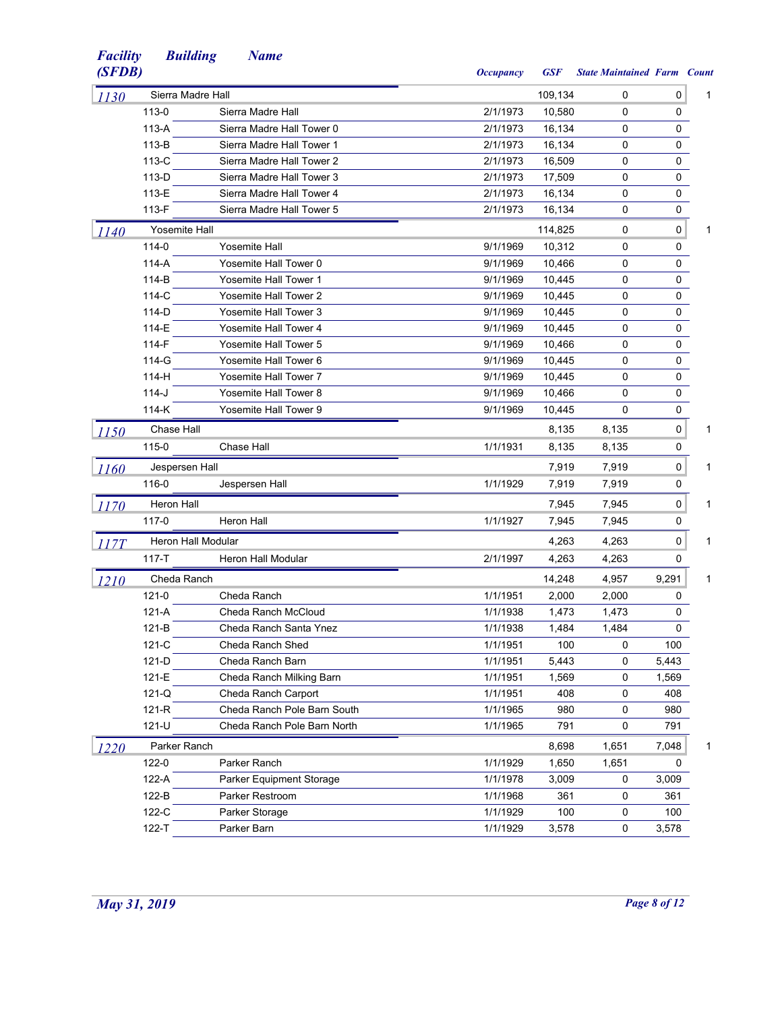| <b>Facility</b><br>(SFDB) | <b>Building</b>    | <b>Name</b>                  | <b>Occupancy</b> | <b>GSF</b> | <b>State Maintained Farm Count</b> |       |   |
|---------------------------|--------------------|------------------------------|------------------|------------|------------------------------------|-------|---|
| 1130                      | Sierra Madre Hall  |                              |                  | 109,134    | 0                                  | 0     | 1 |
|                           | 113-0              | Sierra Madre Hall            | 2/1/1973         | 10.580     | 0                                  | 0     |   |
|                           | $113-A$            | Sierra Madre Hall Tower 0    | 2/1/1973         | 16,134     | 0                                  | 0     |   |
|                           | $113-B$            | Sierra Madre Hall Tower 1    | 2/1/1973         | 16,134     | 0                                  | 0     |   |
|                           | 113-C              | Sierra Madre Hall Tower 2    | 2/1/1973         | 16,509     | 0                                  | 0     |   |
|                           | 113-D              | Sierra Madre Hall Tower 3    | 2/1/1973         | 17,509     | 0                                  | 0     |   |
|                           | 113-E              | Sierra Madre Hall Tower 4    | 2/1/1973         | 16,134     | $\mathbf 0$                        | 0     |   |
|                           | 113-F              | Sierra Madre Hall Tower 5    | 2/1/1973         | 16,134     | 0                                  | 0     |   |
| <i>1140</i>               | Yosemite Hall      |                              |                  | 114,825    | 0                                  | 0     | 1 |
|                           | 114-0              | <b>Yosemite Hall</b>         | 9/1/1969         | 10,312     | 0                                  | 0     |   |
|                           | $114-A$            | Yosemite Hall Tower 0        | 9/1/1969         | 10,466     | 0                                  | 0     |   |
|                           | 114-B              | <b>Yosemite Hall Tower 1</b> | 9/1/1969         | 10,445     | 0                                  | 0     |   |
|                           | 114-C              | <b>Yosemite Hall Tower 2</b> | 9/1/1969         | 10,445     | 0                                  | 0     |   |
|                           | 114-D              | <b>Yosemite Hall Tower 3</b> | 9/1/1969         | 10,445     | $\mathbf 0$                        | 0     |   |
|                           | 114-E              | <b>Yosemite Hall Tower 4</b> | 9/1/1969         | 10,445     | $\mathbf 0$                        | 0     |   |
|                           | 114-F              | <b>Yosemite Hall Tower 5</b> | 9/1/1969         | 10,466     | 0                                  | 0     |   |
|                           | 114-G              | Yosemite Hall Tower 6        | 9/1/1969         | 10,445     | $\mathbf 0$                        | 0     |   |
|                           | 114-H              | <b>Yosemite Hall Tower 7</b> | 9/1/1969         | 10,445     | 0                                  | 0     |   |
|                           | $114-J$            | Yosemite Hall Tower 8        | 9/1/1969         | 10,466     | 0                                  | 0     |   |
|                           | 114-K              | Yosemite Hall Tower 9        | 9/1/1969         | 10.445     | $\Omega$                           | 0     |   |
| 1150                      | Chase Hall         |                              |                  | 8,135      | 8,135                              | 0     | 1 |
|                           | 115-0              | Chase Hall                   | 1/1/1931         | 8,135      | 8,135                              | 0     |   |
| <i>1160</i>               | Jespersen Hall     |                              |                  | 7,919      | 7,919                              | 0     | 1 |
|                           | 116-0              | Jespersen Hall               | 1/1/1929         | 7,919      | 7,919                              | 0     |   |
| 1170                      | <b>Heron Hall</b>  |                              |                  | 7,945      | 7,945                              | 0     | 1 |
|                           | 117-0              | <b>Heron Hall</b>            | 1/1/1927         | 7,945      | 7,945                              | 0     |   |
| 117T                      | Heron Hall Modular |                              |                  | 4,263      | 4,263                              | 0     | 1 |
|                           | 117-T              | Heron Hall Modular           | 2/1/1997         | 4,263      | 4,263                              | 0     |   |
| <b>1210</b>               | Cheda Ranch        |                              |                  | 14,248     | 4,957                              | 9,291 | 1 |
|                           | 121-0              | Cheda Ranch                  | 1/1/1951         | 2,000      | 2,000                              | 0     |   |
|                           | 121-A              | Cheda Ranch McCloud          | 1/1/1938         | 1.473      | 1,473                              | 0     |   |
|                           | $121-B$            | Cheda Ranch Santa Ynez       | 1/1/1938         | 1,484      | 1,484                              | 0     |   |
|                           | $121-C$            | Cheda Ranch Shed             | 1/1/1951         | 100        | 0                                  | 100   |   |
|                           | $121-D$            | Cheda Ranch Barn             | 1/1/1951         | 5,443      | 0                                  | 5,443 |   |
|                           | 121-E              | Cheda Ranch Milking Barn     | 1/1/1951         | 1,569      | 0                                  | 1,569 |   |
|                           | $121-Q$            | Cheda Ranch Carport          | 1/1/1951         | 408        | 0                                  | 408   |   |
|                           | 121-R              | Cheda Ranch Pole Barn South  | 1/1/1965         | 980        | 0                                  | 980   |   |
|                           | 121-U              | Cheda Ranch Pole Barn North  | 1/1/1965         | 791        | 0                                  | 791   |   |
| 1220                      | Parker Ranch       |                              |                  | 8,698      | 1,651                              | 7,048 | 1 |
|                           | 122-0              | Parker Ranch                 | 1/1/1929         | 1,650      | 1,651                              | 0     |   |
|                           | 122-A              | Parker Equipment Storage     | 1/1/1978         | 3,009      | 0                                  | 3,009 |   |
|                           | 122-B              | Parker Restroom              | 1/1/1968         | 361        | 0                                  | 361   |   |
|                           | 122-C              | Parker Storage               | 1/1/1929         | 100        | 0                                  | 100   |   |
|                           | 122-T              | Parker Barn                  | 1/1/1929         | 3,578      | $\pmb{0}$                          | 3,578 |   |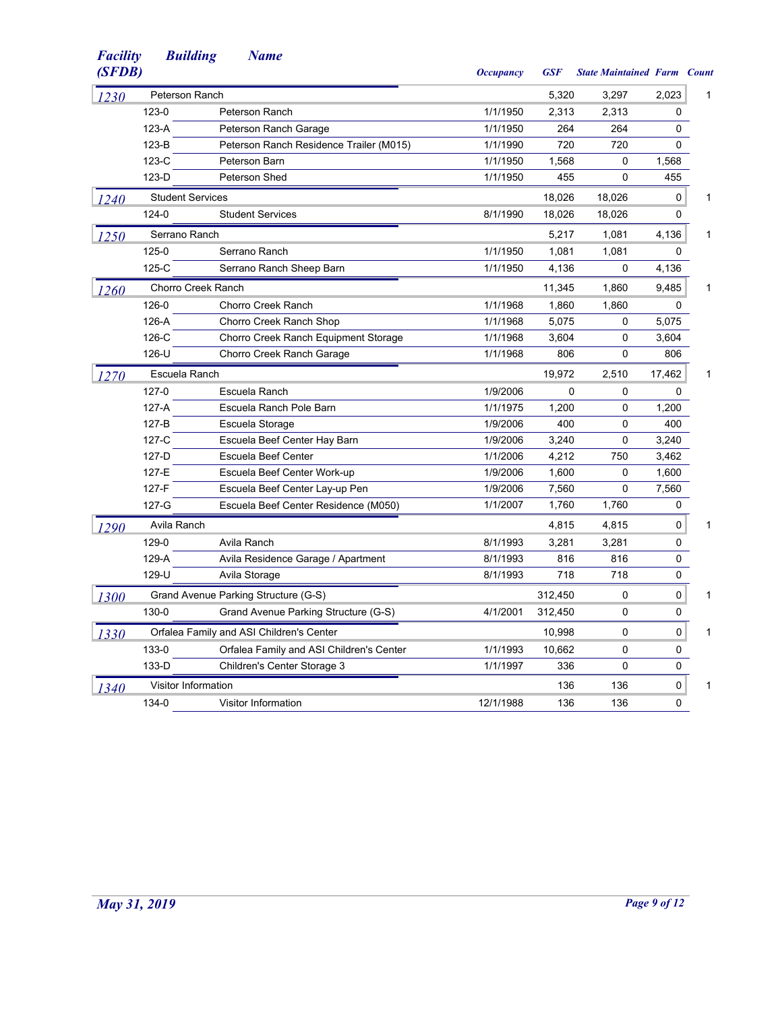| <b>Facility</b><br>(SFDB) | <b>Building</b>           | <b>Name</b>                              | <i><b>Occupancy</b></i> | <b>GSF</b> | <b>State Maintained Farm Count</b> |          |   |
|---------------------------|---------------------------|------------------------------------------|-------------------------|------------|------------------------------------|----------|---|
| 1230                      | Peterson Ranch            |                                          |                         | 5,320      | 3,297                              | 2,023    | 1 |
|                           | 123-0                     | Peterson Ranch                           | 1/1/1950                | 2,313      | 2,313                              | 0        |   |
|                           | 123-A                     | Peterson Ranch Garage                    | 1/1/1950                | 264        | 264                                | 0        |   |
|                           | $123-B$                   | Peterson Ranch Residence Trailer (M015)  | 1/1/1990                | 720        | 720                                | 0        |   |
|                           | 123-C                     | Peterson Barn                            | 1/1/1950                | 1,568      | 0                                  | 1,568    |   |
|                           | $123-D$                   | Peterson Shed                            | 1/1/1950                | 455        | $\Omega$                           | 455      |   |
| 1240                      | <b>Student Services</b>   |                                          |                         | 18,026     | 18,026                             | 0        | 1 |
|                           | 124-0                     | <b>Student Services</b>                  | 8/1/1990                | 18,026     | 18,026                             | 0        |   |
| <i>1250</i>               | Serrano Ranch             |                                          |                         | 5,217      | 1,081                              | 4,136    | 1 |
|                           | 125-0                     | Serrano Ranch                            | 1/1/1950                | 1,081      | 1,081                              | 0        |   |
|                           | $125-C$                   | Serrano Ranch Sheep Barn                 | 1/1/1950                | 4,136      | 0                                  | 4,136    |   |
| 1260                      | <b>Chorro Creek Ranch</b> |                                          |                         | 11,345     | 1,860                              | 9,485    | 1 |
|                           | 126-0                     | Chorro Creek Ranch                       | 1/1/1968                | 1,860      | 1,860                              | 0        |   |
|                           | 126-A                     | Chorro Creek Ranch Shop                  | 1/1/1968                | 5,075      | $\mathbf 0$                        | 5,075    |   |
|                           | 126-C                     | Chorro Creek Ranch Equipment Storage     | 1/1/1968                | 3,604      | $\mathbf 0$                        | 3,604    |   |
|                           | 126-U                     | Chorro Creek Ranch Garage                | 1/1/1968                | 806        | 0                                  | 806      |   |
| 1270                      | Escuela Ranch             |                                          |                         | 19,972     | 2,510                              | 17,462   | 1 |
|                           | 127-0                     | Escuela Ranch                            | 1/9/2006                | 0          | $\mathbf 0$                        | 0        |   |
|                           | 127-A                     | Escuela Ranch Pole Barn                  | 1/1/1975                | 1,200      | $\mathbf 0$                        | 1,200    |   |
|                           | $127-B$                   | Escuela Storage                          | 1/9/2006                | 400        | 0                                  | 400      |   |
|                           | 127-C                     | Escuela Beef Center Hay Barn             | 1/9/2006                | 3,240      | 0                                  | 3,240    |   |
|                           | 127-D                     | Escuela Beef Center                      | 1/1/2006                | 4,212      | 750                                | 3,462    |   |
|                           | 127-E                     | Escuela Beef Center Work-up              | 1/9/2006                | 1,600      | 0                                  | 1,600    |   |
|                           | 127-F                     | Escuela Beef Center Lay-up Pen           | 1/9/2006                | 7,560      | $\mathbf 0$                        | 7,560    |   |
|                           | $127-G$                   | Escuela Beef Center Residence (M050)     | 1/1/2007                | 1,760      | 1,760                              | 0        |   |
| 1290                      | Avila Ranch               |                                          |                         | 4,815      | 4,815                              | 0        | 1 |
|                           | 129-0                     | Avila Ranch                              | 8/1/1993                | 3,281      | 3,281                              | 0        |   |
|                           | 129-A                     | Avila Residence Garage / Apartment       | 8/1/1993                | 816        | 816                                | 0        |   |
|                           | 129-U                     | Avila Storage                            | 8/1/1993                | 718        | 718                                | 0        |   |
| 1300                      |                           | Grand Avenue Parking Structure (G-S)     |                         | 312,450    | $\Omega$                           | 0        | 1 |
|                           | 130-0                     | Grand Avenue Parking Structure (G-S)     | 4/1/2001                | 312,450    | 0                                  | 0        |   |
| 1330                      |                           | Orfalea Family and ASI Children's Center |                         | 10,998     | $\mathbf 0$                        | 0        | 1 |
|                           | 133-0                     | Orfalea Family and ASI Children's Center | 1/1/1993                | 10,662     | 0                                  | 0        |   |
|                           | 133-D                     | Children's Center Storage 3              | 1/1/1997                | 336        | $\Omega$                           | 0        |   |
| 1340                      | Visitor Information       |                                          |                         | 136        | 136                                | 0        | 1 |
|                           | 134-0                     | <b>Visitor Information</b>               | 12/1/1988               | 136        | 136                                | $\Omega$ |   |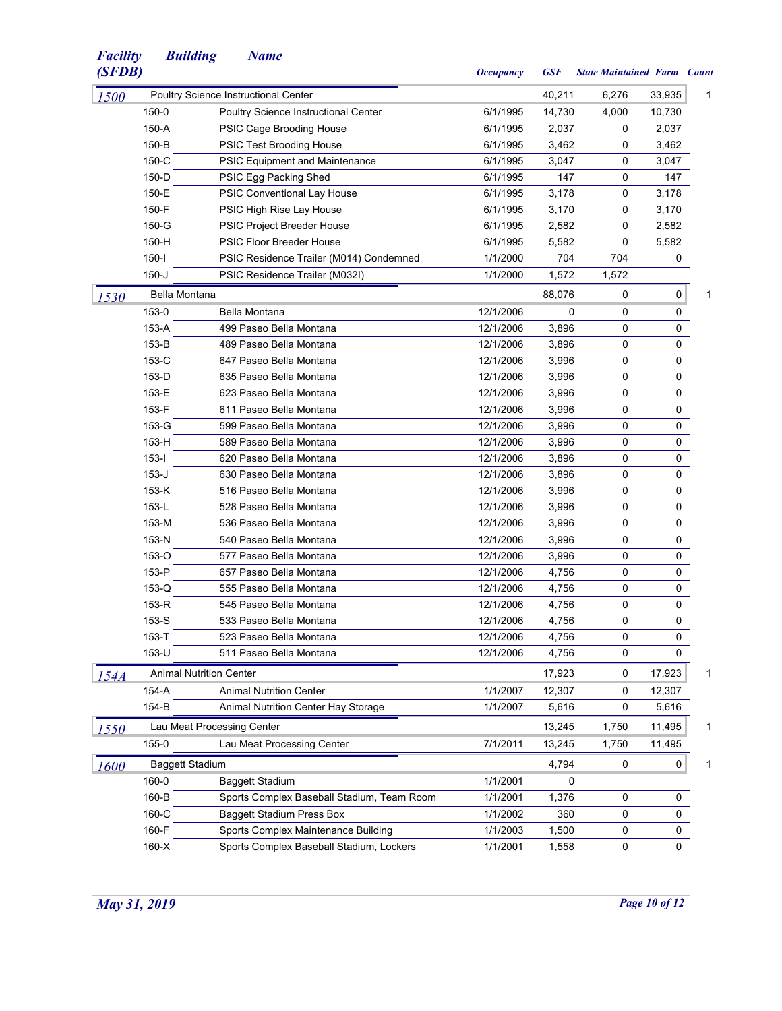| (SFDB) |                        |                                             | <b>Occupancy</b> | <b>GSF</b> | <b>State Maintained Farm Count</b> |        |   |
|--------|------------------------|---------------------------------------------|------------------|------------|------------------------------------|--------|---|
| 1500   |                        | Poultry Science Instructional Center        |                  | 40,211     | 6,276                              | 33,935 | 1 |
|        | 150-0                  | <b>Poultry Science Instructional Center</b> | 6/1/1995         | 14,730     | 4,000                              | 10,730 |   |
|        | 150-A                  | PSIC Cage Brooding House                    | 6/1/1995         | 2,037      | 0                                  | 2,037  |   |
|        | 150-B                  | PSIC Test Brooding House                    | 6/1/1995         | 3,462      | 0                                  | 3,462  |   |
|        | 150-C                  | <b>PSIC Equipment and Maintenance</b>       | 6/1/1995         | 3,047      | 0                                  | 3,047  |   |
|        | 150-D                  | PSIC Egg Packing Shed                       | 6/1/1995         | 147        | $\mathbf 0$                        | 147    |   |
|        | 150-E                  | PSIC Conventional Lay House                 | 6/1/1995         | 3,178      | 0                                  | 3,178  |   |
|        | 150-F                  | PSIC High Rise Lay House                    | 6/1/1995         | 3,170      | 0                                  | 3,170  |   |
|        | 150-G                  | PSIC Project Breeder House                  | 6/1/1995         | 2,582      | 0                                  | 2,582  |   |
|        | 150-H                  | <b>PSIC Floor Breeder House</b>             | 6/1/1995         | 5,582      | 0                                  | 5,582  |   |
|        | $150-I$                | PSIC Residence Trailer (M014) Condemned     | 1/1/2000         | 704        | 704                                | 0      |   |
|        | $150 - J$              | PSIC Residence Trailer (M032I)              | 1/1/2000         | 1,572      | 1,572                              |        |   |
| 1530   | Bella Montana          |                                             |                  | 88,076     | 0                                  | 0      | 1 |
|        | 153-0                  | Bella Montana                               | 12/1/2006        | 0          | 0                                  | 0      |   |
|        | 153-A                  | 499 Paseo Bella Montana                     | 12/1/2006        | 3,896      | 0                                  | 0      |   |
|        | 153-B                  | 489 Paseo Bella Montana                     | 12/1/2006        | 3,896      | 0                                  | 0      |   |
|        | 153-C                  | 647 Paseo Bella Montana                     | 12/1/2006        | 3,996      | 0                                  | 0      |   |
|        | 153-D                  | 635 Paseo Bella Montana                     | 12/1/2006        | 3,996      | $\mathbf 0$                        | 0      |   |
|        | 153-E                  | 623 Paseo Bella Montana                     | 12/1/2006        | 3,996      | 0                                  | 0      |   |
|        | 153-F                  | 611 Paseo Bella Montana                     | 12/1/2006        | 3,996      | 0                                  | 0      |   |
|        | 153-G                  | 599 Paseo Bella Montana                     | 12/1/2006        | 3,996      | 0                                  | 0      |   |
|        | 153-H                  | 589 Paseo Bella Montana                     | 12/1/2006        | 3,996      | $\mathbf 0$                        | 0      |   |
|        | $153 -$                | 620 Paseo Bella Montana                     | 12/1/2006        | 3,896      | 0                                  | 0      |   |
|        | $153-J$                | 630 Paseo Bella Montana                     | 12/1/2006        | 3,896      | 0                                  | 0      |   |
|        | $153-K$                | 516 Paseo Bella Montana                     | 12/1/2006        | 3,996      | 0                                  | 0      |   |
|        | 153-L                  | 528 Paseo Bella Montana                     | 12/1/2006        | 3,996      | 0                                  | 0      |   |
|        | 153-M                  | 536 Paseo Bella Montana                     | 12/1/2006        | 3,996      | 0                                  | 0      |   |
|        | 153-N                  | 540 Paseo Bella Montana                     | 12/1/2006        | 3,996      | 0                                  | 0      |   |
|        | 153-O                  | 577 Paseo Bella Montana                     | 12/1/2006        | 3,996      | 0                                  | 0      |   |
|        | 153-P                  | 657 Paseo Bella Montana                     | 12/1/2006        | 4,756      | $\mathbf 0$                        | 0      |   |
|        | $153-Q$                | 555 Paseo Bella Montana                     | 12/1/2006        | 4,756      | 0                                  | 0      |   |
|        | 153-R                  | 545 Paseo Bella Montana                     | 12/1/2006        | 4,756      | 0                                  | 0      |   |
|        | 153-S                  | 533 Paseo Bella Montana                     | 12/1/2006        | 4,756      | 0                                  | 0      |   |
|        | 153-T                  | 523 Paseo Bella Montana                     | 12/1/2006        | 4,756      | $\Omega$                           | 0      |   |
|        | 153-U                  | 511 Paseo Bella Montana                     | 12/1/2006        | 4,756      | 0                                  | 0      |   |
| 154A   |                        | <b>Animal Nutrition Center</b>              |                  | 17,923     | 0                                  | 17,923 | 1 |
|        | 154-A                  | <b>Animal Nutrition Center</b>              | 1/1/2007         | 12,307     | 0                                  | 12,307 |   |
|        | 154-B                  | Animal Nutrition Center Hay Storage         | 1/1/2007         | 5,616      | 0                                  | 5,616  |   |
| 1550   |                        | Lau Meat Processing Center                  |                  | 13,245     | 1,750                              | 11,495 | 1 |
|        | 155-0                  | Lau Meat Processing Center                  | 7/1/2011         | 13,245     | 1,750                              | 11,495 |   |
| 1600   | <b>Baggett Stadium</b> |                                             |                  | 4,794      | 0                                  | 0      | 1 |
|        | 160-0                  | <b>Baggett Stadium</b>                      | 1/1/2001         | 0          |                                    |        |   |
|        | 160-B                  | Sports Complex Baseball Stadium, Team Room  | 1/1/2001         | 1,376      | 0                                  | 0      |   |
|        | 160-C                  | <b>Baggett Stadium Press Box</b>            | 1/1/2002         | 360        | $\mathbf 0$                        | 0      |   |
|        | 160-F                  | Sports Complex Maintenance Building         | 1/1/2003         | 1,500      | 0                                  | 0      |   |
|        | $160-X$                | Sports Complex Baseball Stadium, Lockers    | 1/1/2001         | 1,558      | 0                                  | 0      |   |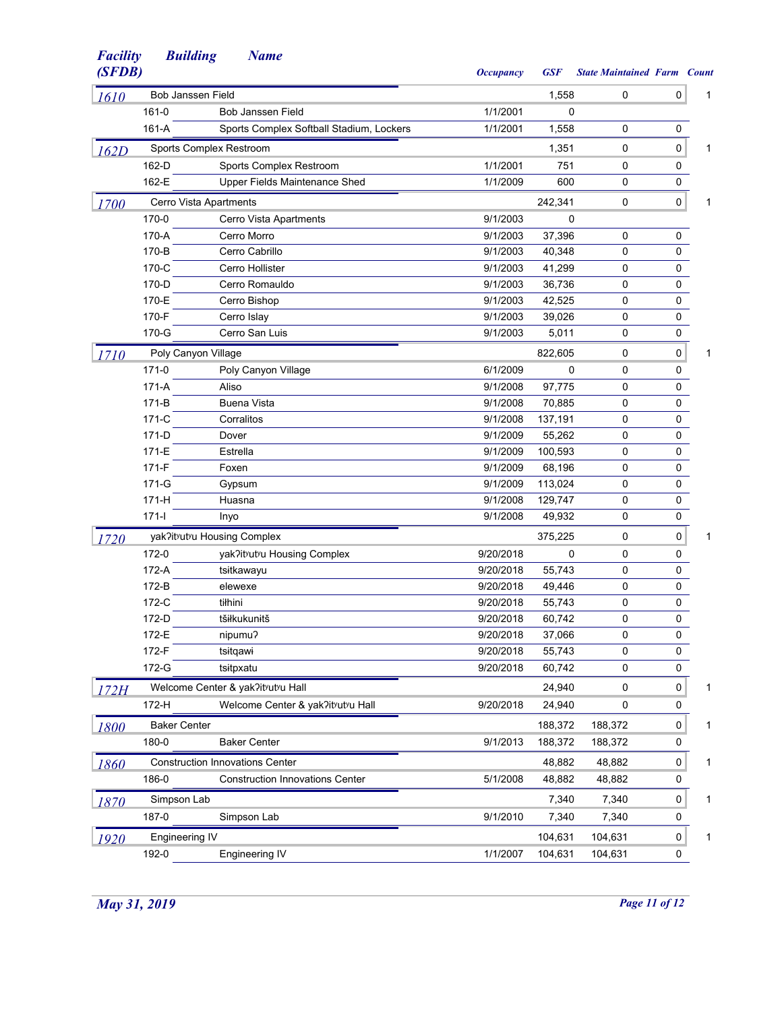| (SFDB) |                       |                                          | <b>Occupancy</b> | <b>GSF</b> | <b>State Maintained Farm Count</b> |             |   |
|--------|-----------------------|------------------------------------------|------------------|------------|------------------------------------|-------------|---|
| 1610   | Bob Janssen Field     |                                          |                  | 1,558      | 0                                  | 0           | 1 |
|        | $161 - 0$             | Bob Janssen Field                        | 1/1/2001         | 0          |                                    |             |   |
|        | 161-A                 | Sports Complex Softball Stadium, Lockers | 1/1/2001         | 1,558      | 0                                  | $\mathbf 0$ |   |
| 162D   |                       | Sports Complex Restroom                  |                  | 1,351      | 0                                  | 0           | 1 |
|        | 162-D                 | Sports Complex Restroom                  | 1/1/2001         | 751        | 0                                  | 0           |   |
|        | 162-E                 | Upper Fields Maintenance Shed            | 1/1/2009         | 600        | 0                                  | 0           |   |
| 1700   |                       | Cerro Vista Apartments                   |                  | 242,341    | 0                                  | $\mathbf 0$ | 1 |
|        | 170-0                 | Cerro Vista Apartments                   | 9/1/2003         | 0          |                                    |             |   |
|        | 170-A                 | Cerro Morro                              | 9/1/2003         | 37,396     | 0                                  | 0           |   |
|        | 170-B                 | Cerro Cabrillo                           | 9/1/2003         | 40,348     | 0                                  | 0           |   |
|        | 170-C                 | Cerro Hollister                          | 9/1/2003         | 41,299     | 0                                  | 0           |   |
|        | 170-D                 | Cerro Romauldo                           | 9/1/2003         | 36,736     | 0                                  | 0           |   |
|        | 170-E                 | Cerro Bishop                             | 9/1/2003         | 42,525     | 0                                  | 0           |   |
|        | 170-F                 | Cerro Islay                              | 9/1/2003         | 39,026     | 0                                  | $\mathbf 0$ |   |
|        | 170-G                 | Cerro San Luis                           | 9/1/2003         | 5,011      | 0                                  | $\mathbf 0$ |   |
| 1710   | Poly Canyon Village   |                                          |                  | 822,605    | 0                                  | $\pmb{0}$   | 1 |
|        | $171 - 0$             | Poly Canyon Village                      | 6/1/2009         | $\Omega$   | 0                                  | 0           |   |
|        | $171-A$               | Aliso                                    | 9/1/2008         | 97,775     | 0                                  | $\mathbf 0$ |   |
|        | 171-B                 | <b>Buena Vista</b>                       | 9/1/2008         | 70,885     | 0                                  | 0           |   |
|        | 171-C                 | Corralitos                               | 9/1/2008         | 137,191    | 0                                  | 0           |   |
|        | 171-D                 | Dover                                    | 9/1/2009         | 55,262     | 0                                  | 0           |   |
|        | 171-E                 | Estrella                                 | 9/1/2009         | 100,593    | 0                                  | 0           |   |
|        | $171-F$               | Foxen                                    | 9/1/2009         | 68,196     | 0                                  | 0           |   |
|        | 171-G                 | Gypsum                                   | 9/1/2009         | 113,024    | 0                                  | 0           |   |
|        | 171-H                 | Huasna                                   | 9/1/2008         | 129,747    | 0                                  | 0           |   |
|        | $171 -$               | Inyo                                     | 9/1/2008         | 49,932     | 0                                  | $\mathbf 0$ |   |
| 1720   |                       | yak?ityutyu Housing Complex              |                  | 375,225    | 0                                  | 0           | 1 |
|        | 172-0                 | yak?itvutvu Housing Complex              | 9/20/2018        | 0          | 0                                  | 0           |   |
|        | 172-A                 | tsitkawayu                               | 9/20/2018        | 55,743     | 0                                  | 0           |   |
|        | 172-B                 | elewexe                                  | 9/20/2018        | 49,446     | 0                                  | 0           |   |
|        | 172-C                 | tiłhini                                  | 9/20/2018        | 55,743     | 0                                  | 0           |   |
|        | 172-D                 | tšiłkukunitš                             | 9/20/2018        | 60,742     | 0                                  | 0           |   |
|        | 172-E                 | nipumu?                                  | 9/20/2018        | 37,066     | 0                                  | $\Omega$    |   |
|        | 172-F                 | tsitgawi                                 | 9/20/2018        | 55,743     | 0                                  | 0           |   |
|        | 172-G                 | tsitpxatu                                | 9/20/2018        | 60,742     | 0                                  | 0           |   |
| 172H   |                       | Welcome Center & yak?itvutvu Hall        |                  | 24,940     | 0                                  | 0           | 1 |
|        | 172-H                 | Welcome Center & yak?itvutvu Hall        | 9/20/2018        | 24,940     | 0                                  | 0           |   |
| 1800   | <b>Baker Center</b>   |                                          |                  | 188,372    | 188,372                            | 0           | 1 |
|        | 180-0                 | <b>Baker Center</b>                      | 9/1/2013         | 188,372    | 188,372                            | 0           |   |
| 1860   |                       | <b>Construction Innovations Center</b>   |                  | 48,882     | 48,882                             | 0           | 1 |
|        | 186-0                 | <b>Construction Innovations Center</b>   | 5/1/2008         | 48,882     | 48,882                             | 0           |   |
|        | Simpson Lab           |                                          |                  | 7,340      | 7,340                              | 0           | 1 |
| 1870   | 187-0                 | Simpson Lab                              | 9/1/2010         | 7,340      | 7,340                              | 0           |   |
|        |                       |                                          |                  |            |                                    |             |   |
| 1920   | <b>Engineering IV</b> |                                          |                  | 104,631    | 104,631                            | $\pmb{0}$   | 1 |
|        | 192-0                 | Engineering IV                           | 1/1/2007         | 104,631    | 104,631                            | 0           |   |